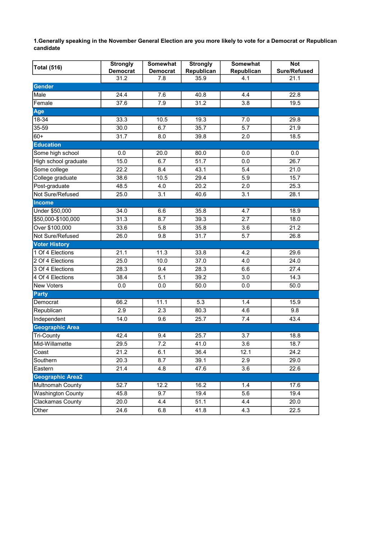1.Generally speaking in the November General Election are you more likely to vote for a Democrat or Republican candidate

| <b>Total (516)</b>       | <b>Strongly</b>         | <b>Somewhat</b>        | <b>Strongly</b>    | Somewhat          | <b>Not</b>                  |
|--------------------------|-------------------------|------------------------|--------------------|-------------------|-----------------------------|
|                          | <b>Democrat</b><br>31.2 | <b>Democrat</b><br>7.8 | Republican<br>35.9 | Republican<br>4.1 | <b>Sure/Refused</b><br>21.1 |
| <b>Gender</b>            |                         |                        |                    |                   |                             |
| Male                     | 24.4                    | 7.6                    | 40.8               | 4.4               | 22.8                        |
| Female                   | 37.6                    | 7.9                    | 31.2               | $\overline{3.8}$  | 19.5                        |
|                          |                         |                        |                    |                   |                             |
| Age<br>$18 - 34$         | 33.3                    | 10.5                   | 19.3               | 7.0               | 29.8                        |
|                          |                         |                        |                    |                   |                             |
| 35-59                    | 30.0                    | 6.7                    | 35.7               | 5.7               | 21.9                        |
| $60+$                    | 31.7                    | 8.0                    | 39.8               | 2.0               | 18.5                        |
| <b>Education</b>         |                         |                        |                    |                   |                             |
| Some high school         | 0.0                     | 20.0                   | 80.0               | 0.0               | 0.0                         |
| High school graduate     | 15.0                    | 6.7                    | 51.7               | 0.0               | 26.7                        |
| Some college             | 22.2                    | 8.4                    | 43.1               | 5.4               | 21.0                        |
| College graduate         | 38.6                    | 10.5                   | 29.4               | 5.9               | 15.7                        |
| Post-graduate            | 48.5                    | 4.0                    | 20.2               | 2.0               | 25.3                        |
| Not Sure/Refused         | 25.0                    | 3.1                    | 40.6               | 3.1               | 28.1                        |
| <b>Income</b>            |                         |                        |                    |                   |                             |
| Under \$50,000           | 34.0                    | 6.6                    | 35.8               | 4.7               | 18.9                        |
| \$50,000-\$100,000       | 31.3                    | 8.7                    | 39.3               | 2.7               | 18.0                        |
| Over \$100,000           | 33.6                    | 5.8                    | 35.8               | 3.6               | 21.2                        |
| Not Sure/Refused         | 26.0                    | 9.8                    | 31.7               | 5.7               | 26.8                        |
| <b>Voter History</b>     |                         |                        |                    |                   |                             |
| 1 Of 4 Elections         | 21.1                    | 11.3                   | 33.8               | 4.2               | 29.6                        |
| 2 Of 4 Elections         | 25.0                    | 10.0                   | 37.0               | 4.0               | 24.0                        |
| 3 Of 4 Elections         | 28.3                    | 9.4                    | 28.3               | 6.6               | 27.4                        |
| 4 Of 4 Elections         | 38.4                    | 5.1                    | 39.2               | 3.0               | 14.3                        |
| New Voters               | 0.0                     | 0.0                    | 50.0               | 0.0               | 50.0                        |
| <b>Party</b>             |                         |                        |                    |                   |                             |
| Democrat                 | 66.2                    | 11.1                   | 5.3                | 1.4               | 15.9                        |
| Republican               | 2.9                     | 2.3                    | 80.3               | 4.6               | 9.8                         |
| Independent              | 14.0                    | 9.6                    | 25.7               | 7.4               | 43.4                        |
| <b>Geographic Area</b>   |                         |                        |                    |                   |                             |
| <b>Tri-County</b>        | 42.4                    | 9.4                    | 25.7               | 3.7               | 18.8                        |
| Mid-Willamette           | 29.5                    | 7.2                    | 41.0               | 3.6               | 18.7                        |
| Coast                    | 21.2                    | 6.1                    | 36.4               | 12.1              | 24.2                        |
| Southern                 | 20.3                    | 8.7                    | 39.1               | 2.9               | 29.0                        |
| Eastern                  | 21.4                    | 4.8                    | 47.6               | 3.6               | 22.6                        |
| <b>Geographic Area2</b>  |                         |                        |                    |                   |                             |
| Multnomah County         | 52.7                    | 12.2                   | 16.2               | 1.4               | 17.6                        |
| <b>Washington County</b> | 45.8                    | 9.7                    | 19.4               | 5.6               | 19.4                        |
| Clackamas County         | 20.0                    | 4.4                    | 51.1               | 4.4               | 20.0                        |
| Other                    | 24.6                    | 6.8                    | 41.8               | 4.3               | 22.5                        |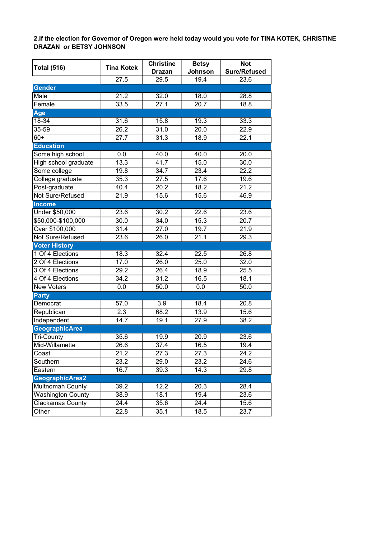2.If the election for Governor of Oregon were held today would you vote for TINA KOTEK, CHRISTINE DRAZAN or BETSY JOHNSON

|                          | <b>Tina Kotek</b> | <b>Christine</b>  | <b>Betsy</b> | <b>Not</b>          |  |  |  |
|--------------------------|-------------------|-------------------|--------------|---------------------|--|--|--|
| <b>Total (516)</b>       |                   | <b>Drazan</b>     | Johnson      | <b>Sure/Refused</b> |  |  |  |
|                          | 27.5              | 29.5              | 19.4         | 23.6                |  |  |  |
| <b>Gender</b>            |                   |                   |              |                     |  |  |  |
| Male                     | 21.2              | 32.0              | 18.0         | 28.8                |  |  |  |
| Female                   | 33.5              | 27.1              | 20.7         | 18.8                |  |  |  |
| Age                      |                   |                   |              |                     |  |  |  |
| $18 - 34$                | 31.6              | 15.8              | 19.3         | 33.3                |  |  |  |
| $35 - 59$                | 26.2              | 31.0              | 20.0         | 22.9                |  |  |  |
| $60+$                    | 27.7              | 31.3              | 18.9         | 22.1                |  |  |  |
| <b>Education</b>         |                   |                   |              |                     |  |  |  |
| Some high school         | 0.0               | 40.0              | 40.0         | 20.0                |  |  |  |
| High school graduate     | 13.3              | 41.7              | 15.0         | 30.0                |  |  |  |
| Some college             | 19.8              | 34.7              | 23.4         | 22.2                |  |  |  |
| College graduate         | 35.3              | 27.5              | 17.6         | 19.6                |  |  |  |
| Post-graduate            | 40.4              | $\overline{20.2}$ | 18.2         | 21.2                |  |  |  |
| Not Sure/Refused         | 21.9              | 15.6              | 15.6         | 46.9                |  |  |  |
| <b>Income</b>            |                   |                   |              |                     |  |  |  |
| <b>Under \$50,000</b>    | 23.6              | 30.2              | 22.6         | 23.6                |  |  |  |
| \$50,000-\$100,000       | 30.0              | 34.0              | 15.3         | 20.7                |  |  |  |
| Over \$100,000           | 31.4              | 27.0              | 19.7         | 21.9                |  |  |  |
| Not Sure/Refused         | 23.6              | 26.0              | 21.1         | 29.3                |  |  |  |
| <b>Voter History</b>     |                   |                   |              |                     |  |  |  |
| 1 Of 4 Elections         | 18.3              | 32.4              | 22.5         | 26.8                |  |  |  |
| 2 Of 4 Elections         | 17.0              | 26.0              | 25.0         | 32.0                |  |  |  |
| 3 Of 4 Elections         | 29.2              | 26.4              | 18.9         | 25.5                |  |  |  |
| 4 Of 4 Elections         | 34.2              | 31.2              | 16.5         | 18.1                |  |  |  |
| <b>New Voters</b>        | 0.0               | 50.0              | 0.0          | 50.0                |  |  |  |
| <b>Party</b>             |                   |                   |              |                     |  |  |  |
| Democrat                 | $\frac{1}{57.0}$  | 3.9               | 18.4         | 20.8                |  |  |  |
| Republican               | 2.3               | 68.2              | 13.9         | 15.6                |  |  |  |
| Independent              | $\overline{14.7}$ | 19.1              | 27.9         | 38.2                |  |  |  |
| <b>GeographicArea</b>    |                   |                   |              |                     |  |  |  |
| <b>Tri-County</b>        | 35.6              | 19.9              | 20.9         | 23.6                |  |  |  |
| Mid-Willamette           | 26.6              | 37.4              | 16.5         | 19.4                |  |  |  |
| Coast                    | 21.2              | 27.3              | 27.3         | 24.2                |  |  |  |
| Southern                 | 23.2              | 29.0              | 23.2         | 24.6                |  |  |  |
| Eastern                  | 16.7              | 39.3              | 14.3         | 29.8                |  |  |  |
| GeographicArea2          |                   |                   |              |                     |  |  |  |
| Multnomah County         | 39.2              | 12.2              | 20.3         | 28.4                |  |  |  |
| <b>Washington County</b> | 38.9              | 18.1              | 19.4         | 23.6                |  |  |  |
| <b>Clackamas County</b>  | 24.4              | 35.6              | 24.4         | 15.6                |  |  |  |
| Other                    | 22.8              | 35.1              | 18.5         | 23.7                |  |  |  |